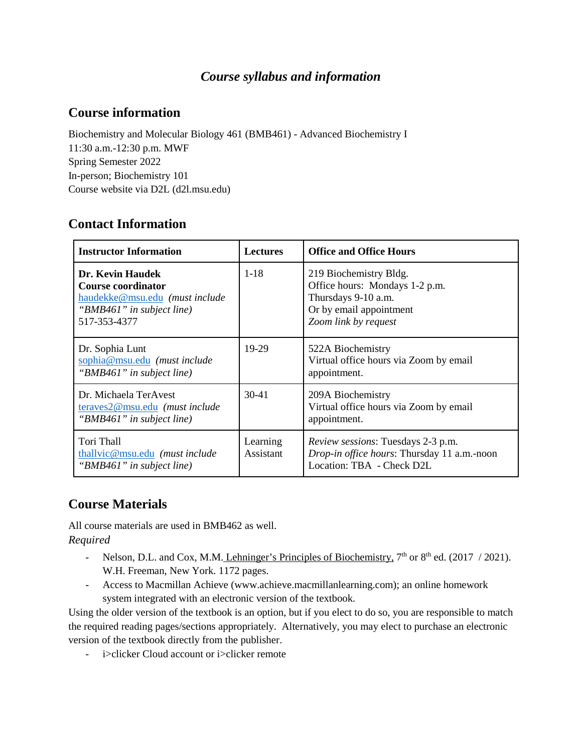# *Course syllabus and information*

# **Course information**

Biochemistry and Molecular Biology 461 (BMB461) - Advanced Biochemistry I 11:30 a.m.-12:30 p.m. MWF Spring Semester 2022 In-person; Biochemistry 101 Course website via D2L (d2l.msu.edu)

# **Contact Information**

| <b>Instructor Information</b>                                                                                                | <b>Lectures</b>       | <b>Office and Office Hours</b>                                                                                                     |
|------------------------------------------------------------------------------------------------------------------------------|-----------------------|------------------------------------------------------------------------------------------------------------------------------------|
| Dr. Kevin Haudek<br><b>Course coordinator</b><br>haudekke@msu.edu (must include<br>"BMB461" in subject line)<br>517-353-4377 | $1 - 18$              | 219 Biochemistry Bldg.<br>Office hours: Mondays 1-2 p.m.<br>Thursdays 9-10 a.m.<br>Or by email appointment<br>Zoom link by request |
| Dr. Sophia Lunt<br>sophia@msu.edu (must include<br>"BMB461" in subject line)                                                 | 19-29                 | 522A Biochemistry<br>Virtual office hours via Zoom by email<br>appointment.                                                        |
| Dr. Michaela TerAvest<br>teraves2@msu.edu (must include<br>"BMB461" in subject line)                                         | $30-41$               | 209A Biochemistry<br>Virtual office hours via Zoom by email<br>appointment.                                                        |
| Tori Thall<br>thallvic@msu.edu (must include<br>"BMB461" in subject line)                                                    | Learning<br>Assistant | <i>Review sessions:</i> Tuesdays 2-3 p.m.<br>Drop-in office hours: Thursday 11 a.m.-noon<br>Location: TBA - Check D2L              |

# **Course Materials**

All course materials are used in BMB462 as well. *Required*

- Nelson, D.L. and Cox, M.M. Lehninger's Principles of Biochemistry,  $7<sup>th</sup>$  or  $8<sup>th</sup>$  ed. (2017 / 2021). W.H. Freeman, New York. 1172 pages.
- Access to Macmillan Achieve (www.achieve.macmillanlearning.com); an online homework system integrated with an electronic version of the textbook.

Using the older version of the textbook is an option, but if you elect to do so, you are responsible to match the required reading pages/sections appropriately. Alternatively, you may elect to purchase an electronic version of the textbook directly from the publisher.

- i>clicker Cloud account or i>clicker remote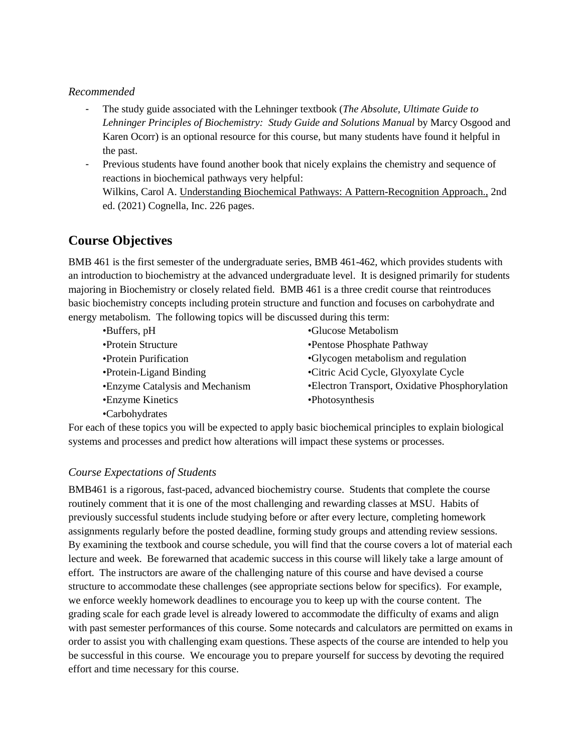#### *Recommended*

- The study guide associated with the Lehninger textbook (*The Absolute, Ultimate Guide to Lehninger Principles of Biochemistry: Study Guide and Solutions Manual* by Marcy Osgood and Karen Ocorr) is an optional resource for this course, but many students have found it helpful in the past.
- Previous students have found another book that nicely explains the chemistry and sequence of reactions in biochemical pathways very helpful: Wilkins, Carol A. Understanding Biochemical Pathways: A Pattern-Recognition Approach., 2nd ed. (2021) Cognella, Inc. 226 pages.

# **Course Objectives**

BMB 461 is the first semester of the undergraduate series, BMB 461-462, which provides students with an introduction to biochemistry at the advanced undergraduate level. It is designed primarily for students majoring in Biochemistry or closely related field. BMB 461 is a three credit course that reintroduces basic biochemistry concepts including protein structure and function and focuses on carbohydrate and energy metabolism. The following topics will be discussed during this term:

•Buffers, pH •Protein Structure •Protein Purification •Protein-Ligand Binding •Enzyme Catalysis and Mechanism •Enzyme Kinetics •Carbohydrates •Glucose Metabolism •Pentose Phosphate Pathway •Glycogen metabolism and regulation •Citric Acid Cycle, Glyoxylate Cycle •Electron Transport, Oxidative Phosphorylation •Photosynthesis

For each of these topics you will be expected to apply basic biochemical principles to explain biological systems and processes and predict how alterations will impact these systems or processes.

## *Course Expectations of Students*

BMB461 is a rigorous, fast-paced, advanced biochemistry course. Students that complete the course routinely comment that it is one of the most challenging and rewarding classes at MSU. Habits of previously successful students include studying before or after every lecture, completing homework assignments regularly before the posted deadline, forming study groups and attending review sessions. By examining the textbook and course schedule, you will find that the course covers a lot of material each lecture and week. Be forewarned that academic success in this course will likely take a large amount of effort. The instructors are aware of the challenging nature of this course and have devised a course structure to accommodate these challenges (see appropriate sections below for specifics). For example, we enforce weekly homework deadlines to encourage you to keep up with the course content. The grading scale for each grade level is already lowered to accommodate the difficulty of exams and align with past semester performances of this course. Some notecards and calculators are permitted on exams in order to assist you with challenging exam questions. These aspects of the course are intended to help you be successful in this course. We encourage you to prepare yourself for success by devoting the required effort and time necessary for this course.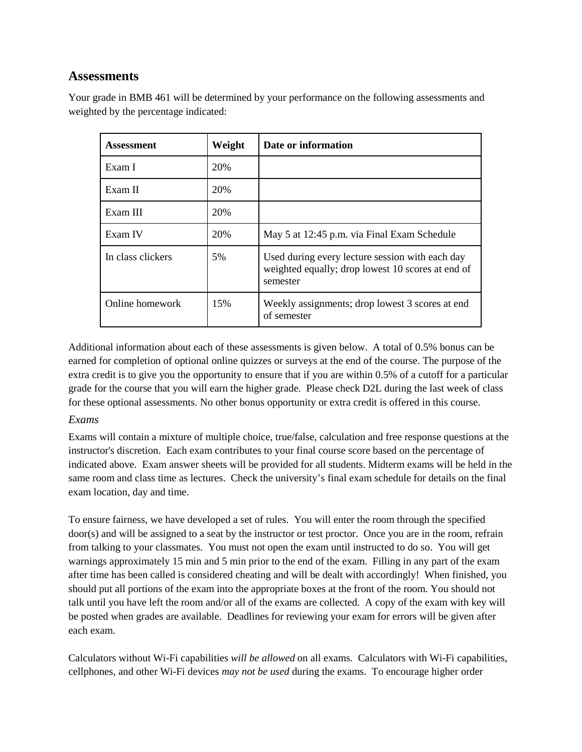# **Assessments**

Your grade in BMB 461 will be determined by your performance on the following assessments and weighted by the percentage indicated:

| Assessment        | Weight | Date or information                                                                                              |
|-------------------|--------|------------------------------------------------------------------------------------------------------------------|
| Exam I            | 20%    |                                                                                                                  |
| Exam II           | 20%    |                                                                                                                  |
| Exam III          | 20%    |                                                                                                                  |
| Exam IV           | 20%    | May 5 at 12:45 p.m. via Final Exam Schedule                                                                      |
| In class clickers | 5%     | Used during every lecture session with each day<br>weighted equally; drop lowest 10 scores at end of<br>semester |
| Online homework   | 15%    | Weekly assignments; drop lowest 3 scores at end<br>of semester                                                   |

Additional information about each of these assessments is given below. A total of 0.5% bonus can be earned for completion of optional online quizzes or surveys at the end of the course. The purpose of the extra credit is to give you the opportunity to ensure that if you are within 0.5% of a cutoff for a particular grade for the course that you will earn the higher grade. Please check D2L during the last week of class for these optional assessments. No other bonus opportunity or extra credit is offered in this course.

## *Exams*

Exams will contain a mixture of multiple choice, true/false, calculation and free response questions at the instructor's discretion. Each exam contributes to your final course score based on the percentage of indicated above. Exam answer sheets will be provided for all students. Midterm exams will be held in the same room and class time as lectures. Check the university's final exam schedule for details on the final exam location, day and time.

To ensure fairness, we have developed a set of rules. You will enter the room through the specified door(s) and will be assigned to a seat by the instructor or test proctor. Once you are in the room, refrain from talking to your classmates. You must not open the exam until instructed to do so. You will get warnings approximately 15 min and 5 min prior to the end of the exam. Filling in any part of the exam after time has been called is considered cheating and will be dealt with accordingly! When finished, you should put all portions of the exam into the appropriate boxes at the front of the room. You should not talk until you have left the room and/or all of the exams are collected. A copy of the exam with key will be posted when grades are available. Deadlines for reviewing your exam for errors will be given after each exam.

Calculators without Wi-Fi capabilities *will be allowed* on all exams. Calculators with Wi-Fi capabilities, cellphones, and other Wi-Fi devices *may not be used* during the exams. To encourage higher order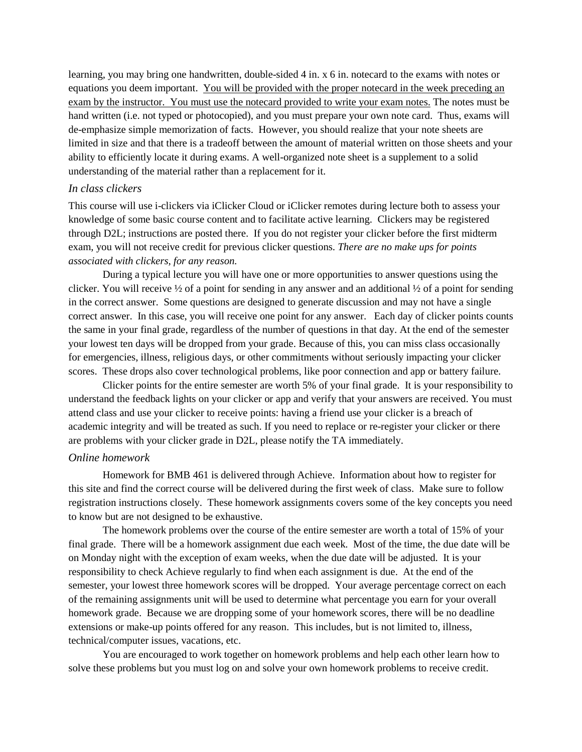learning, you may bring one handwritten, double-sided 4 in. x 6 in. notecard to the exams with notes or equations you deem important. You will be provided with the proper notecard in the week preceding an exam by the instructor. You must use the notecard provided to write your exam notes. The notes must be hand written (i.e. not typed or photocopied), and you must prepare your own note card. Thus, exams will de-emphasize simple memorization of facts. However, you should realize that your note sheets are limited in size and that there is a tradeoff between the amount of material written on those sheets and your ability to efficiently locate it during exams. A well-organized note sheet is a supplement to a solid understanding of the material rather than a replacement for it.

#### *In class clickers*

This course will use i-clickers via iClicker Cloud or iClicker remotes during lecture both to assess your knowledge of some basic course content and to facilitate active learning. Clickers may be registered through D2L; instructions are posted there. If you do not register your clicker before the first midterm exam, you will not receive credit for previous clicker questions. *There are no make ups for points associated with clickers, for any reason.*

During a typical lecture you will have one or more opportunities to answer questions using the clicker. You will receive  $\frac{1}{2}$  of a point for sending in any answer and an additional  $\frac{1}{2}$  of a point for sending in the correct answer. Some questions are designed to generate discussion and may not have a single correct answer. In this case, you will receive one point for any answer. Each day of clicker points counts the same in your final grade, regardless of the number of questions in that day. At the end of the semester your lowest ten days will be dropped from your grade. Because of this, you can miss class occasionally for emergencies, illness, religious days, or other commitments without seriously impacting your clicker scores. These drops also cover technological problems, like poor connection and app or battery failure.

Clicker points for the entire semester are worth 5% of your final grade. It is your responsibility to understand the feedback lights on your clicker or app and verify that your answers are received. You must attend class and use your clicker to receive points: having a friend use your clicker is a breach of academic integrity and will be treated as such. If you need to replace or re-register your clicker or there are problems with your clicker grade in D2L, please notify the TA immediately.

#### *Online homework*

Homework for BMB 461 is delivered through Achieve. Information about how to register for this site and find the correct course will be delivered during the first week of class. Make sure to follow registration instructions closely. These homework assignments covers some of the key concepts you need to know but are not designed to be exhaustive.

The homework problems over the course of the entire semester are worth a total of 15% of your final grade. There will be a homework assignment due each week. Most of the time, the due date will be on Monday night with the exception of exam weeks, when the due date will be adjusted. It is your responsibility to check Achieve regularly to find when each assignment is due. At the end of the semester, your lowest three homework scores will be dropped. Your average percentage correct on each of the remaining assignments unit will be used to determine what percentage you earn for your overall homework grade. Because we are dropping some of your homework scores, there will be no deadline extensions or make-up points offered for any reason. This includes, but is not limited to, illness, technical/computer issues, vacations, etc.

You are encouraged to work together on homework problems and help each other learn how to solve these problems but you must log on and solve your own homework problems to receive credit.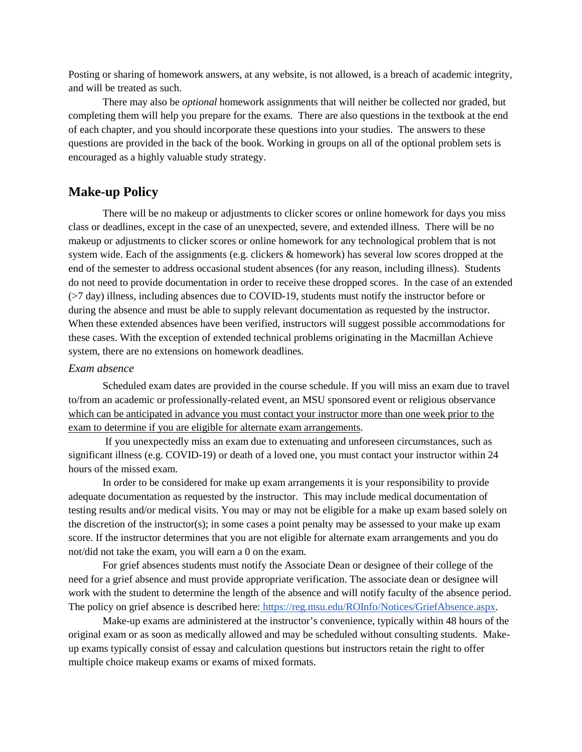Posting or sharing of homework answers, at any website, is not allowed, is a breach of academic integrity, and will be treated as such.

There may also be *optional* homework assignments that will neither be collected nor graded, but completing them will help you prepare for the exams. There are also questions in the textbook at the end of each chapter, and you should incorporate these questions into your studies. The answers to these questions are provided in the back of the book. Working in groups on all of the optional problem sets is encouraged as a highly valuable study strategy.

# **Make-up Policy**

There will be no makeup or adjustments to clicker scores or online homework for days you miss class or deadlines, except in the case of an unexpected, severe, and extended illness. There will be no makeup or adjustments to clicker scores or online homework for any technological problem that is not system wide. Each of the assignments (e.g. clickers & homework) has several low scores dropped at the end of the semester to address occasional student absences (for any reason, including illness). Students do not need to provide documentation in order to receive these dropped scores. In the case of an extended (>7 day) illness, including absences due to COVID-19, students must notify the instructor before or during the absence and must be able to supply relevant documentation as requested by the instructor. When these extended absences have been verified, instructors will suggest possible accommodations for these cases. With the exception of extended technical problems originating in the Macmillan Achieve system, there are no extensions on homework deadlines.

#### *Exam absence*

Scheduled exam dates are provided in the course schedule. If you will miss an exam due to travel to/from an academic or professionally-related event, an MSU sponsored event or religious observance which can be anticipated in advance you must contact your instructor more than one week prior to the exam to determine if you are eligible for alternate exam arrangements.

If you unexpectedly miss an exam due to extenuating and unforeseen circumstances, such as significant illness (e.g. COVID-19) or death of a loved one, you must contact your instructor within 24 hours of the missed exam.

In order to be considered for make up exam arrangements it is your responsibility to provide adequate documentation as requested by the instructor. This may include medical documentation of testing results and/or medical visits. You may or may not be eligible for a make up exam based solely on the discretion of the instructor(s); in some cases a point penalty may be assessed to your make up exam score. If the instructor determines that you are not eligible for alternate exam arrangements and you do not/did not take the exam, you will earn a 0 on the exam.

For grief absences students must notify the Associate Dean or designee of their college of the need for a grief absence and must provide appropriate verification. The associate dean or designee will work with the student to determine the length of the absence and will notify faculty of the absence period. The policy on grief absence is described here: https://reg.msu.edu/ROInfo/Notices/GriefAbsence.aspx.

Make-up exams are administered at the instructor's convenience, typically within 48 hours of the original exam or as soon as medically allowed and may be scheduled without consulting students. Makeup exams typically consist of essay and calculation questions but instructors retain the right to offer multiple choice makeup exams or exams of mixed formats.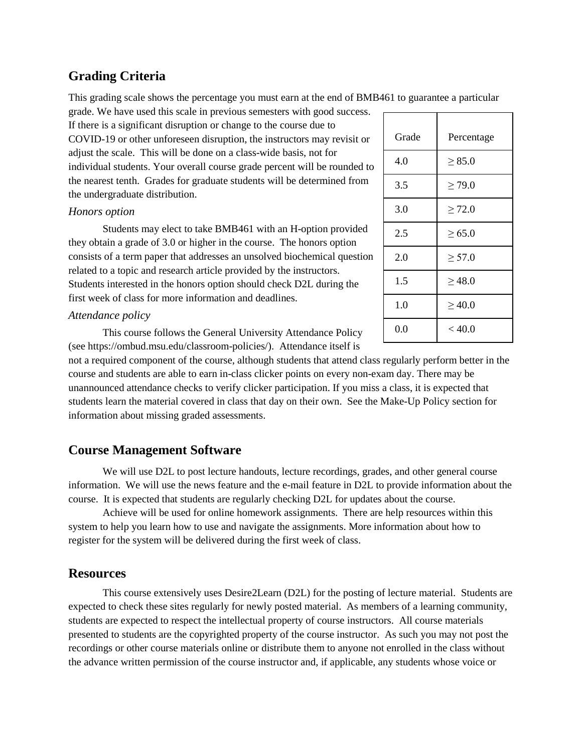# **Grading Criteria**

This grading scale shows the percentage you must earn at the end of BMB461 to guarantee a particular

grade. We have used this scale in previous semesters with good success.

If there is a significant disruption or change to the course due to COVID-19 or other unforeseen disruption, the instructors may revisit or adjust the scale. This will be done on a class-wide basis, not for individual students. Your overall course grade percent will be rounded to the nearest tenth. Grades for graduate students will be determined from the undergraduate distribution.

#### *Honors option*

Students may elect to take BMB461 with an H-option provided they obtain a grade of 3.0 or higher in the course. The honors option consists of a term paper that addresses an unsolved biochemical question related to a topic and research article provided by the instructors. Students interested in the honors option should check D2L during the first week of class for more information and deadlines.

#### *Attendance policy*

This course follows the General University Attendance Policy (see https://ombud.msu.edu/classroom-policies/). Attendance itself is

not a required component of the course, although students that attend class regularly perform better in the course and students are able to earn in-class clicker points on every non-exam day. There may be unannounced attendance checks to verify clicker participation. If you miss a class, it is expected that students learn the material covered in class that day on their own. See the Make-Up Policy section for information about missing graded assessments.

# **Course Management Software**

We will use D2L to post lecture handouts, lecture recordings, grades, and other general course information. We will use the news feature and the e-mail feature in D2L to provide information about the course. It is expected that students are regularly checking D2L for updates about the course.

Achieve will be used for online homework assignments. There are help resources within this system to help you learn how to use and navigate the assignments. More information about how to register for the system will be delivered during the first week of class.

# **Resources**

This course extensively uses Desire2Learn (D2L) for the posting of lecture material. Students are expected to check these sites regularly for newly posted material. As members of a learning community, students are expected to respect the intellectual property of course instructors. All course materials presented to students are the copyrighted property of the course instructor. As such you may not post the recordings or other course materials online or distribute them to anyone not enrolled in the class without the advance written permission of the course instructor and, if applicable, any students whose voice or

| Grade   | Percentage  |
|---------|-------------|
| 4.0     | $\geq 85.0$ |
| 3.5     | $\geq$ 79.0 |
| 3.0     | $\geq 72.0$ |
| 2.5     | $\ge 65.0$  |
| 2.0     | $\geq 57.0$ |
| 1.5     | $\geq 48.0$ |
| 1.0     | $\geq 40.0$ |
| $0.0\,$ | < 40.0      |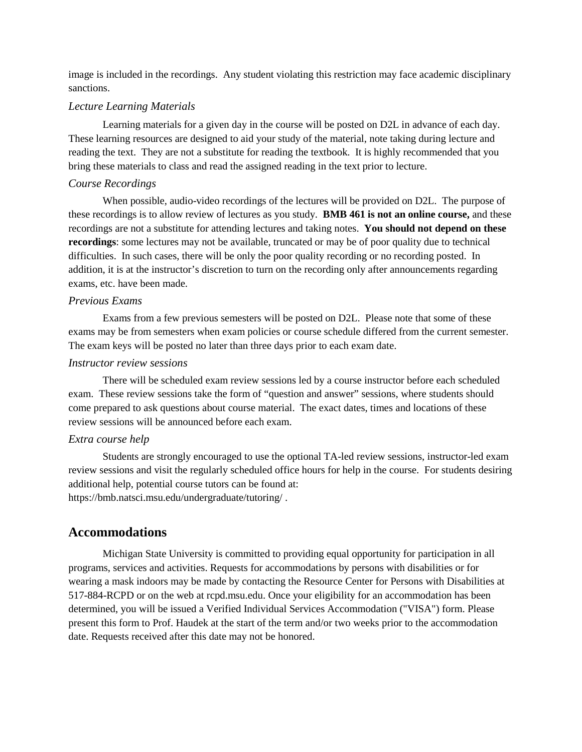image is included in the recordings. Any student violating this restriction may face academic disciplinary sanctions.

#### *Lecture Learning Materials*

Learning materials for a given day in the course will be posted on D2L in advance of each day. These learning resources are designed to aid your study of the material, note taking during lecture and reading the text. They are not a substitute for reading the textbook. It is highly recommended that you bring these materials to class and read the assigned reading in the text prior to lecture.

#### *Course Recordings*

When possible, audio-video recordings of the lectures will be provided on D2L. The purpose of these recordings is to allow review of lectures as you study. **BMB 461 is not an online course,** and these recordings are not a substitute for attending lectures and taking notes. **You should not depend on these recordings**: some lectures may not be available, truncated or may be of poor quality due to technical difficulties. In such cases, there will be only the poor quality recording or no recording posted. In addition, it is at the instructor's discretion to turn on the recording only after announcements regarding exams, etc. have been made.

#### *Previous Exams*

Exams from a few previous semesters will be posted on D2L. Please note that some of these exams may be from semesters when exam policies or course schedule differed from the current semester. The exam keys will be posted no later than three days prior to each exam date.

#### *Instructor review sessions*

There will be scheduled exam review sessions led by a course instructor before each scheduled exam. These review sessions take the form of "question and answer" sessions, where students should come prepared to ask questions about course material. The exact dates, times and locations of these review sessions will be announced before each exam.

#### *Extra course help*

Students are strongly encouraged to use the optional TA-led review sessions, instructor-led exam review sessions and visit the regularly scheduled office hours for help in the course. For students desiring additional help, potential course tutors can be found at: https://bmb.natsci.msu.edu/undergraduate/tutoring/ .

# **Accommodations**

Michigan State University is committed to providing equal opportunity for participation in all programs, services and activities. Requests for accommodations by persons with disabilities or for wearing a mask indoors may be made by contacting the Resource Center for Persons with Disabilities at 517-884-RCPD or on the web at rcpd.msu.edu. Once your eligibility for an accommodation has been determined, you will be issued a Verified Individual Services Accommodation ("VISA") form. Please present this form to Prof. Haudek at the start of the term and/or two weeks prior to the accommodation date. Requests received after this date may not be honored.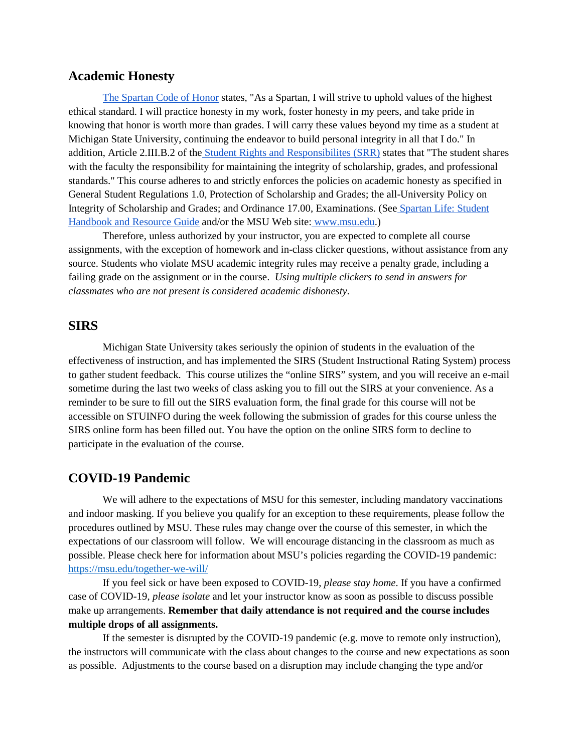# **Academic Honesty**

The Spartan Code of Honor states, "As a Spartan, I will strive to uphold values of the highest ethical standard. I will practice honesty in my work, foster honesty in my peers, and take pride in knowing that honor is worth more than grades. I will carry these values beyond my time as a student at Michigan State University, continuing the endeavor to build personal integrity in all that I do." In addition, Article 2.III.B.2 of the Student Rights and Responsibilites (SRR) states that "The student shares with the faculty the responsibility for maintaining the integrity of scholarship, grades, and professional standards." This course adheres to and strictly enforces the policies on academic honesty as specified in General Student Regulations 1.0, Protection of Scholarship and Grades; the all-University Policy on Integrity of Scholarship and Grades; and Ordinance 17.00, Examinations. (See Spartan Life: Student Handbook and Resource Guide and/or the MSU Web site: www.msu.edu.)

Therefore, unless authorized by your instructor, you are expected to complete all course assignments, with the exception of homework and in-class clicker questions, without assistance from any source. Students who violate MSU academic integrity rules may receive a penalty grade, including a failing grade on the assignment or in the course. *Using multiple clickers to send in answers for classmates who are not present is considered academic dishonesty.* 

## **SIRS**

Michigan State University takes seriously the opinion of students in the evaluation of the effectiveness of instruction, and has implemented the SIRS (Student Instructional Rating System) process to gather student feedback. This course utilizes the "online SIRS" system, and you will receive an e-mail sometime during the last two weeks of class asking you to fill out the SIRS at your convenience. As a reminder to be sure to fill out the SIRS evaluation form, the final grade for this course will not be accessible on STUINFO during the week following the submission of grades for this course unless the SIRS online form has been filled out. You have the option on the online SIRS form to decline to participate in the evaluation of the course.

## **COVID-19 Pandemic**

We will adhere to the expectations of MSU for this semester, including mandatory vaccinations and indoor masking. If you believe you qualify for an exception to these requirements, please follow the procedures outlined by MSU. These rules may change over the course of this semester, in which the expectations of our classroom will follow. We will encourage distancing in the classroom as much as possible. Please check here for information about MSU's policies regarding the COVID-19 pandemic: https://msu.edu/together-we-will/

If you feel sick or have been exposed to COVID-19, *please stay home*. If you have a confirmed case of COVID-19, *please isolate* and let your instructor know as soon as possible to discuss possible make up arrangements. **Remember that daily attendance is not required and the course includes multiple drops of all assignments.**

If the semester is disrupted by the COVID-19 pandemic (e.g. move to remote only instruction), the instructors will communicate with the class about changes to the course and new expectations as soon as possible. Adjustments to the course based on a disruption may include changing the type and/or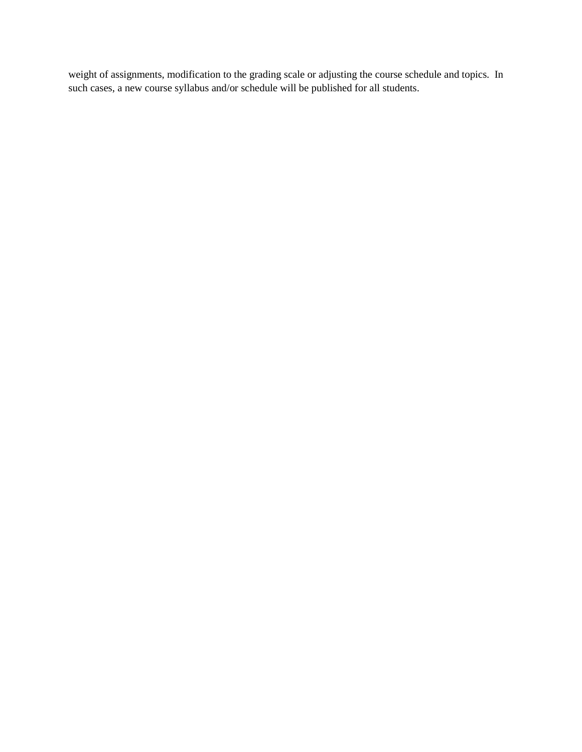weight of assignments, modification to the grading scale or adjusting the course schedule and topics. In such cases, a new course syllabus and/or schedule will be published for all students.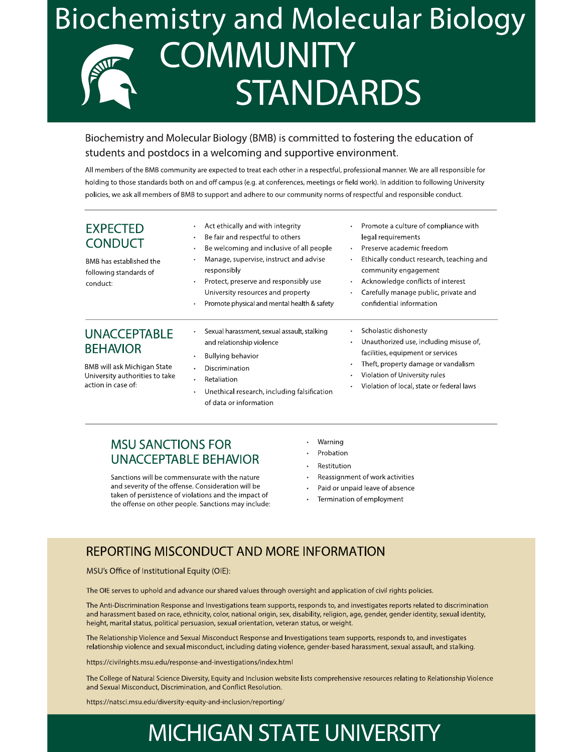# **Biochemistry and Molecular Biology COMMUNITY STANDARDS**

# Biochemistry and Molecular Biology (BMB) is committed to fostering the education of students and postdocs in a welcoming and supportive environment.

All members of the BMB community are expected to treat each other in a respectful, professional manner. We are all responsible for holding to those standards both on and off campus (e.g. at conferences, meetings or field work). In addition to following University policies, we ask all members of BMB to support and adhere to our community norms of respectful and responsible conduct.

| <b>EXPECTED</b><br><b>CONDUCT</b><br>BMB has established the<br>following standards of<br>conduct: | Act ethically and with integrity<br>Be fair and respectful to others<br>Be welcoming and inclusive of all people<br>$\bullet$<br>Manage, supervise, instruct and advise<br>responsibly<br>Protect, preserve and responsibly use<br>University resources and property<br>Promote physical and mental health & safety | Promote a culture of compliance with<br>$\bullet$<br>legal requirements<br>Preserve academic freedom<br>$\bullet$<br>Ethically conduct research, teaching and<br>$\bullet$<br>community engagement<br>Acknowledge conflicts of interest<br>$\bullet$<br>Carefully manage public, private and<br>٠<br>confidential information |
|----------------------------------------------------------------------------------------------------|---------------------------------------------------------------------------------------------------------------------------------------------------------------------------------------------------------------------------------------------------------------------------------------------------------------------|-------------------------------------------------------------------------------------------------------------------------------------------------------------------------------------------------------------------------------------------------------------------------------------------------------------------------------|
| <b>UNACCEPTABLE</b><br><b>BEHAVIOR</b>                                                             | Sexual harassment, sexual assault, stalking<br>and relationship violence<br>Bullying behavior                                                                                                                                                                                                                       | Scholastic dishonesty<br>$\bullet$<br>Unauthorized use, including misuse of,<br>$\bullet$<br>facilities, equipment or services                                                                                                                                                                                                |
| BMB will ask Michigan State<br>University authorities to take<br>action in case of:                | Discrimination<br>Retaliation<br>٠<br>Unethical research, including falsification<br>of data or information                                                                                                                                                                                                         | Theft, property damage or vandalism<br>٠<br>Violation of University rules<br>٠<br>Violation of local, state or federal laws<br>٠                                                                                                                                                                                              |

# **MSU SANCTIONS FOR UNACCEPTABLE BEHAVIOR**

Sanctions will be commensurate with the nature and severity of the offense. Consideration will be taken of persistence of violations and the impact of the offense on other people. Sanctions may include:

- Warning
- Probation
- Restitution
- Reassignment of work activities
- $\ddot{\phantom{a}}$ Paid or unpaid leave of absence
- Termination of employment

# **REPORTING MISCONDUCT AND MORE INFORMATION**

MSU's Office of Institutional Equity (OIE):

The OIE serves to uphold and advance our shared values through oversight and application of civil rights policies.

The Anti-Discrimination Response and Investigations team supports, responds to, and investigates reports related to discrimination and harassment based on race, ethnicity, color, national origin, sex, disability, religion, age, gender, gender identity, sexual identity, height, marital status, political persuasion, sexual orientation, veteran status, or weight.

The Relationship Violence and Sexual Misconduct Response and Investigations team supports, responds to, and investigates relationship violence and sexual misconduct, including dating violence, gender-based harassment, sexual assault, and stalking.

https://civilrights.msu.edu/response-and-investigations/index.html

The College of Natural Science Diversity, Equity and Inclusion website lists comprehensive resources relating to Relationship Violence and Sexual Misconduct, Discrimination, and Conflict Resolution.

https://natsci.msu.edu/diversity-equity-and-inclusion/reporting/

# **MICHIGAN STATE UNIVERSITY**